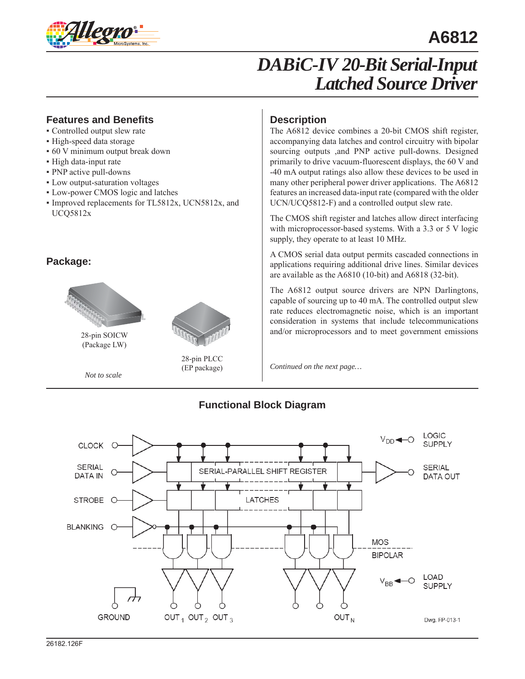

# **A6812**

# *DABiC-IV 20-Bit Serial-Input Latched Source Driver*

### **Features and Benefits**

- Controlled output slew rate
- High-speed data storage
- 60 V minimum output break down
- High data-input rate
- PNP active pull-downs
- Low output-saturation voltages
- Low-power CMOS logic and latches
- Improved replacements for TL5812x, UCN5812x, and UCQ5812x

### **Package:**



(Package LW)



*Not to scale*

### **Description**

The A6812 device combines a 20-bit CMOS shift register, accompanying data latches and control circuitry with bipolar sourcing outputs ,and PNP active pull-downs. Designed primarily to drive vacuum-fluorescent displays, the 60 V and -40 mA output ratings also allow these devices to be used in many other peripheral power driver applications. The A6812 features an increased data-input rate (compared with the older UCN/UCQ5812-F) and a controlled output slew rate.

The CMOS shift register and latches allow direct interfacing with microprocessor-based systems. With a 3.3 or 5 V logic supply, they operate to at least 10 MHz.

A CMOS serial data output permits cascaded connections in applications requiring additional drive lines. Similar devices are avail able as the A6810 (10-bit) and A6818 (32-bit).

The A6812 output source drivers are NPN Darlingtons, capable of sourcing up to 40 mA. The controlled output slew rate reduces electromagnetic noise, which is an important consideration in systems that include telecommunications and/or microprocessors and to meet government emissions

*Continued on the next page…*



## **Functional Block Diagram**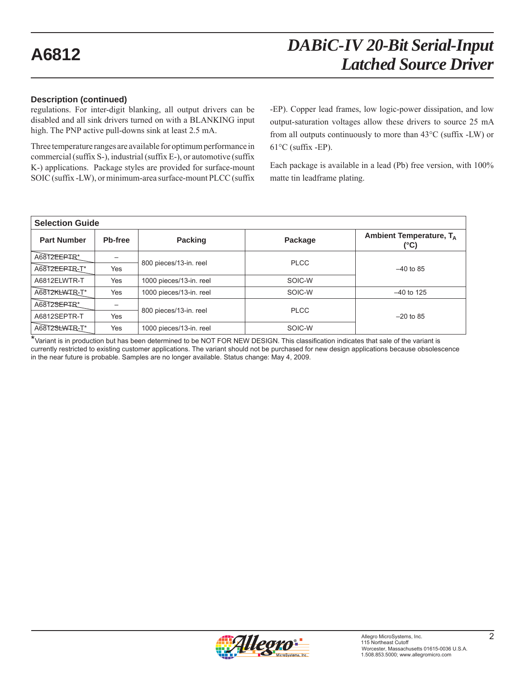### **Description (continued)**

regulations. For inter-digit blanking, all output drivers can be disabled and all sink drivers turned on with a BLANKING input high. The PNP active pull-downs sink at least 2.5 mA.

Three temperature ranges are available for optimum performance in commercial (suffix S-), industrial (suffix E-), or automotive (suffix K-) applications. Package styles are provided for surface-mount SOIC (suffix -LW), or minimum-area surface-mount PLCC (suffix

-EP). Copper lead frames, low logic-power dissipation, and low output-saturation voltages allow these drivers to source 25 mA from all outputs continuously to more than 43°C (suffix -LW) or  $61^{\circ}$ C (suffix -EP).

Each package is available in a lead (Pb) free version, with 100% matte tin leadframe plating.

| <b>Selection Guide</b> |         |                         |             |                                 |  |  |  |  |  |  |  |
|------------------------|---------|-------------------------|-------------|---------------------------------|--|--|--|--|--|--|--|
| <b>Part Number</b>     | Pb-free | Packing                 | Package     | Ambient Temperature, TA<br>(°C) |  |  |  |  |  |  |  |
| A6812EERTR*            |         | 800 pieces/13-in. reel  | <b>PLCC</b> |                                 |  |  |  |  |  |  |  |
| A6812EERIR-T*          | Yes     |                         |             | $-40$ to 85                     |  |  |  |  |  |  |  |
| A6812ELWTR-T           | Yes     | 1000 pieces/13-in. reel | SOIC-W      |                                 |  |  |  |  |  |  |  |
| A6812KLWTR-T*          | Yes     | 1000 pieces/13-in. reel | SOIC-W      | $-40$ to 125                    |  |  |  |  |  |  |  |
| A6812SEPTR*            |         |                         | <b>PLCC</b> |                                 |  |  |  |  |  |  |  |
| A6812SEPTR-T           | Yes     | 800 pieces/13-in. reel  |             | $-20$ to 85                     |  |  |  |  |  |  |  |
| A6812SLWTR-T*          | Yes     | 1000 pieces/13-in. reel | SOIC-W      |                                 |  |  |  |  |  |  |  |

\*Variant is in production but has been determined to be NOT FOR NEW DESIGN. This classification indicates that sale of the variant is currently restricted to existing customer applications. The variant should not be purchased for new design applications because obsolescence in the near future is probable. Samples are no longer available. Status change: May 4, 2009.

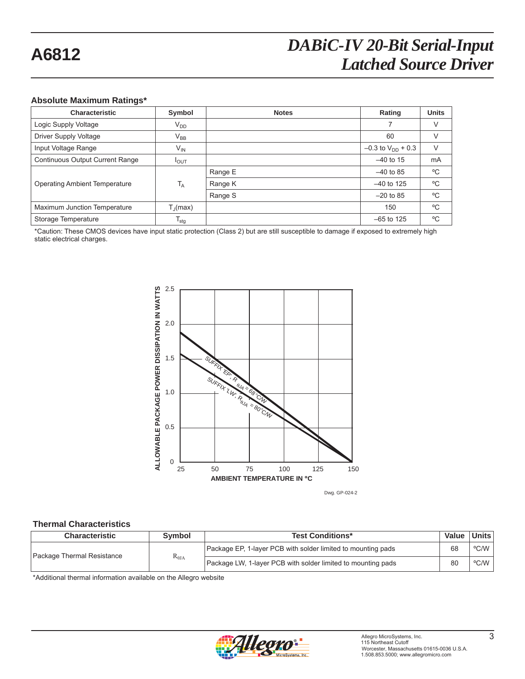### **Absolute Maximum Ratings\***

| <b>Characteristic</b>                | Symbol            | <b>Notes</b> | Rating                   | <b>Units</b> |
|--------------------------------------|-------------------|--------------|--------------------------|--------------|
| Logic Supply Voltage                 | $V_{DD}$          |              | 7                        | V            |
| Driver Supply Voltage                | $\rm V_{BB}$      |              | 60                       | V            |
| Input Voltage Range                  | $V_{IN}$          |              | $-0.3$ to $V_{DD}$ + 0.3 | $\vee$       |
| Continuous Output Current Range      | $I_{OUT}$         |              | $-40$ to 15              | mA           |
|                                      |                   | Range E      | $-40$ to 85              | °C           |
| <b>Operating Ambient Temperature</b> | $T_A$             | Range K      | $-40$ to 125             | °C           |
|                                      |                   | Range S      | $-20$ to 85              | °C           |
| Maximum Junction Temperature         | $T_{\rm d}$ (max) |              | 150                      | °C           |
| Storage Temperature                  | $T_{\text{stg}}$  |              | $-65$ to 125             | °C           |

\*Caution: These CMOS devices have input static protection (Class 2) but are still susceptible to damage if exposed to extremely high static electrical charges.



Dwg. GP-024-2

### **Thermal Characteristics**

| <b>Characteristic</b>      | <b>Symbol</b>   | <b>Test Conditions*</b>                                      | Value | Units |
|----------------------------|-----------------|--------------------------------------------------------------|-------|-------|
| Package Thermal Resistance |                 | Package EP, 1-layer PCB with solder limited to mounting pads |       | °C/W  |
|                            | $R_{\theta JA}$ | Package LW, 1-layer PCB with solder limited to mounting pads | 80    | °C/W  |

\*Additional thermal information available on the Allegro website

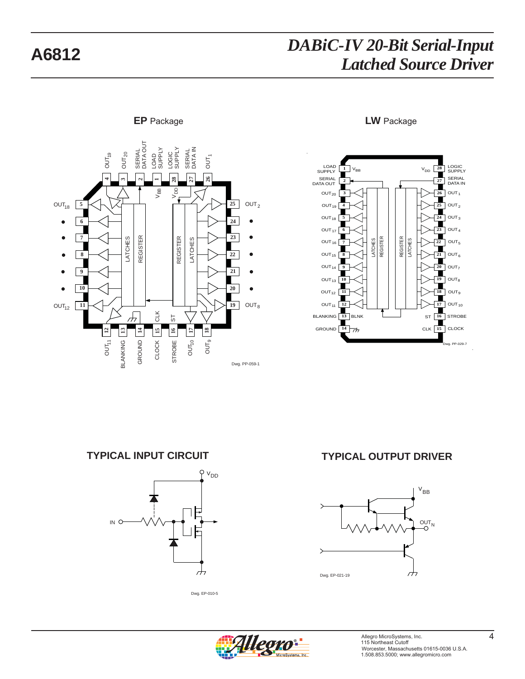

LOGIC SUPPLY **28**  $\begin{array}{ccc} \text{LOAD} & 1 \\ \text{SUPPLY} & \end{array}$   $V_{BB}$ **1** V<sub>DD</sub> **27** SERIAL SERIAL DATA OUT **2**  $\overline{26}$  OUT<sub>1</sub>  $OUT<sub>20</sub>$ **3 26** Π  $OUT<sub>19</sub>$ **4 25** OUT2 ■  $OUT_{18}$ **24**  $OUT<sub>3</sub>$ **5**  $OUT<sub>17</sub>$  $OUT<sub>4</sub>$ **6 23** LATCHES REGISTER **REGISTER** LATCHES REGISTER REGISTER  $OUT<sub>16</sub>$ **22 7** 22 OUT<sub>5</sub><br> **11** OUT<sub>6</sub><br>
20 OUT<sub>7</sub><br>
19 OUT<sub>9</sub><br>
15 OUT<sub>9</sub><br>
16 STRO<br>
15 CLOC  $OUT<sub>6</sub>$  $OUT_{15}$  8 **21**  $OUT<sub>14</sub>$ OUT<sub>7</sub> **9 20**  $OUT<sub>13</sub> 10$ OUT<sup>8</sup> **10 19**  $OUT<sub>12</sub>$  $OUT<sub>9</sub>$ **11 18**  $OUT<sub>11</sub>$ **12 17** | OUT<sub>10</sub> BLNK **13** BLANKING **28** STROBE GROUND  $\begin{array}{|c|c|}\n\hline\n14 & \rightarrow\n\end{array}$ **CLK** 15 CLOCK PP-029-7



Dwg. EP-010-5

## **TYPICAL INPUT CIRCUIT TYPICAL OUTPUT DRIVER**





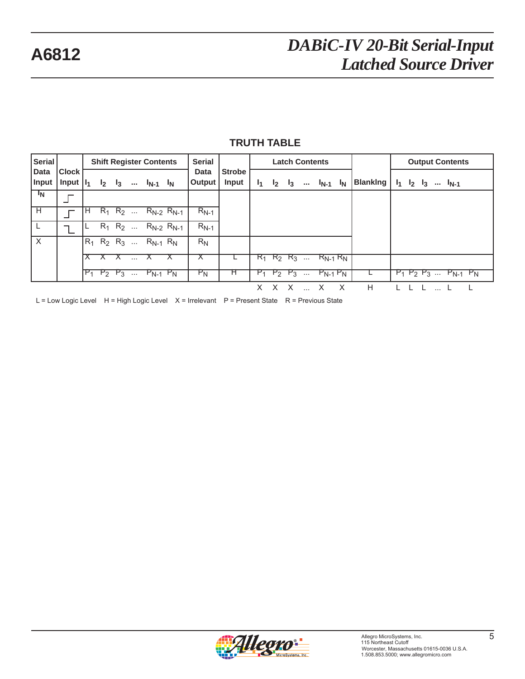| Serial                  |                               |                |                        |             |                 | <b>Shift Register Contents</b> |                     | <b>Serial</b>  |                               |     | <b>Latch Contents</b> |                |          |               |       |                 | <b>Output Contents</b> |             |  |           |                            |  |  |
|-------------------------|-------------------------------|----------------|------------------------|-------------|-----------------|--------------------------------|---------------------|----------------|-------------------------------|-----|-----------------------|----------------|----------|---------------|-------|-----------------|------------------------|-------------|--|-----------|----------------------------|--|--|
| Data<br>Input           | <b>Clock</b><br>Input $ I_1 $ |                | I <sub>2</sub>         | $_{13}$     | $\cdots$        | $I_{N-1}$ $I_N$                |                     | Data<br>Output | <b>Strobe</b><br><b>Input</b> | I1. | I <sub>2</sub>        | 1 <sub>3</sub> | $\cdots$ | $I_{N-1}$     | $I_N$ | <b>Blanking</b> | $I_1$                  | $I_2$ $I_3$ |  | $I_{N-1}$ |                            |  |  |
| $\mathbf{I_N}$          |                               |                |                        |             |                 |                                |                     |                |                               |     |                       |                |          |               |       |                 |                        |             |  |           |                            |  |  |
| $\overline{\mathsf{H}}$ | ┍                             | H              |                        | $R_1$ $R_2$ |                 |                                | $R_{N-2}$ $R_{N-1}$ | $R_{N-1}$      |                               |     |                       |                |          |               |       |                 |                        |             |  |           |                            |  |  |
|                         |                               |                | $\overline{R_1}$ $R_2$ |             |                 |                                | $R_{N-2}$ $R_{N-1}$ | $R_{N-1}$      |                               |     |                       |                |          |               |       |                 |                        |             |  |           |                            |  |  |
| X                       |                               | $R_1$          | $R_2$ $R_3$            |             | $\sim$ . $\sim$ | $R_{N-1}$ $R_N$                |                     | $R_N$          |                               |     |                       |                |          |               |       |                 |                        |             |  |           |                            |  |  |
|                         |                               |                |                        |             |                 |                                | ⌒                   | ∧              |                               |     | $R_1$ $R_2$ $R_3$     |                | $\cdots$ | $R_{N-1} R_N$ |       |                 |                        |             |  |           |                            |  |  |
|                         |                               | $\mathbb{P}_1$ |                        | $P_2$ $P_3$ | $\ldots$        | $P_{N-1}$ $P_N$                |                     | $P_N$          | ਸ                             |     | $P_1$ $P_2$ $P_3$     |                | $\cdots$ | $P_{N-1}P_N$  |       |                 |                        |             |  |           | $P_1 P_2 P_3  P_{N-1} P_N$ |  |  |
|                         |                               |                |                        |             |                 |                                |                     |                |                               | X.  | X                     | X              |          |               | X     | H               |                        |             |  |           |                            |  |  |

L = Low Logic Level H = High Logic Level X = Irrelevant P = Present State R = Previous State

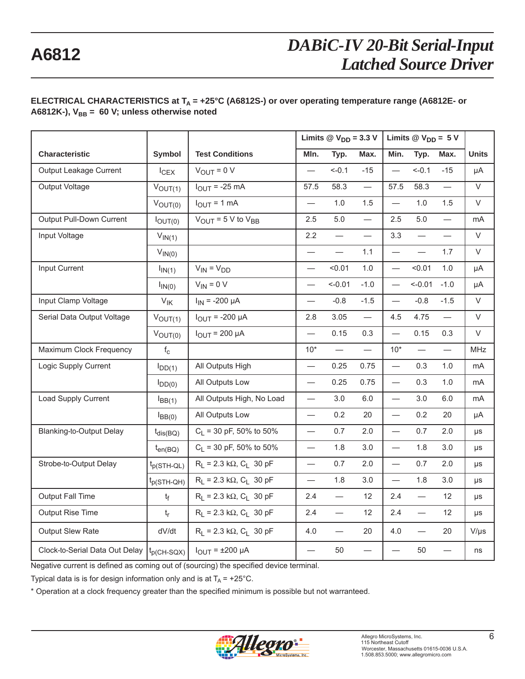### ELECTRICAL CHARACTERISTICS at T<sub>A</sub> = +25°C (A6812S-) or over operating temperature range (A6812E- or A6812K-), V<sub>BB</sub> = 60 V; unless otherwise noted

|                                 |                   |                                               |                          | Limits $\circledR$ V <sub>DD</sub> = 3.3 V |                          | Limits $@V_{DD} = 5V$         |           |        |              |
|---------------------------------|-------------------|-----------------------------------------------|--------------------------|--------------------------------------------|--------------------------|-------------------------------|-----------|--------|--------------|
| <b>Characteristic</b>           | Symbol            | <b>Test Conditions</b>                        | Mln.                     | Typ.                                       | Max.                     | Min.                          | Typ.      | Max.   | <b>Units</b> |
| Output Leakage Current          | $I_{CEX}$         | $V_{\text{OUT}} = 0 V$                        | $\overline{\phantom{0}}$ | $<-0.1$                                    | $-15$                    |                               | $<-0.1$   | $-15$  | μA           |
| Output Voltage                  | $V_{OUT(1)}$      | $I_{\text{OUT}}$ = -25 mA                     | 57.5                     | 58.3                                       | $\overline{\phantom{0}}$ | 57.5                          | 58.3      |        | $\vee$       |
|                                 | $V_{OUT(0)}$      | $I_{\text{OUT}} = 1 \text{ mA}$               |                          | 1.0                                        | 1.5                      | $\qquad \qquad -$             | 1.0       | 1.5    | V            |
| Output Pull-Down Current        | $I_{OUT(0)}$      | $V_{\text{OUT}}$ = 5 V to $V_{\text{BB}}$     | 2.5                      | $5.0$                                      |                          | 2.5                           | 5.0       |        | mA           |
| Input Voltage                   | $V_{IN(1)}$       |                                               | 2.2                      |                                            |                          | 3.3                           |           |        | $\vee$       |
|                                 | $V_{IN(0)}$       |                                               | $\overline{\phantom{0}}$ | $\overline{\phantom{0}}$                   | 1.1                      | $\overbrace{\phantom{12333}}$ |           | 1.7    | V            |
| Input Current                   | $I_{IN(1)}$       | $V_{IN} = V_{DD}$                             | $\equiv$                 | < 0.01                                     | 1.0                      | $\overline{\phantom{0}}$      | < 0.01    | 1.0    | μA           |
|                                 | $I_{IN(0)}$       | $V_{IN} = 0 V$                                | $\overline{\phantom{0}}$ | $< -0.01$                                  | $-1.0$                   |                               | $< -0.01$ | $-1.0$ | μA           |
| Input Clamp Voltage             | $V_{\mathsf{IK}}$ | $I_{IN}$ = -200 µA                            | $\overline{\phantom{0}}$ | $-0.8$                                     | $-1.5$                   |                               | $-0.8$    | $-1.5$ | V            |
| Serial Data Output Voltage      | $V_{OUT(1)}$      | $I_{OUIT}$ = -200 µA                          | 2.8                      | 3.05                                       | $\qquad \qquad$          | 4.5                           | 4.75      |        | $\vee$       |
|                                 | $V_{OUT(0)}$      | $I_{OUT}$ = 200 µA                            | $\overline{\phantom{0}}$ | 0.15                                       | 0.3                      |                               | 0.15      | 0.3    | V            |
| Maximum Clock Frequency         | $f_c$             |                                               | $10*$                    |                                            | $\overline{\phantom{0}}$ | $10^*$                        |           |        | <b>MHz</b>   |
| Logic Supply Current            | $I_{DD(1)}$       | All Outputs High                              |                          | 0.25                                       | 0.75                     | $\overline{\phantom{0}}$      | 0.3       | 1.0    | mA           |
|                                 | $I_{DD(0)}$       | All Outputs Low                               | $\overline{\phantom{0}}$ | 0.25                                       | 0.75                     |                               | 0.3       | 1.0    | mA           |
| Load Supply Current             | $I_{BB(1)}$       | All Outputs High, No Load                     |                          | 3.0                                        | 6.0                      |                               | 3.0       | 6.0    | mA           |
|                                 | $I_{BB(0)}$       | All Outputs Low                               |                          | 0.2                                        | 20                       |                               | 0.2       | 20     | μA           |
| <b>Blanking-to-Output Delay</b> | $t_{dis(BO)}$     | $C_1$ = 30 pF, 50% to 50%                     |                          | 0.7                                        | 2.0                      | $\overline{\phantom{0}}$      | 0.7       | 2.0    | μs           |
|                                 | $t_{en(BO)}$      | $C_1$ = 30 pF, 50% to 50%                     | $\overline{\phantom{0}}$ | 1.8                                        | 3.0                      |                               | 1.8       | 3.0    | μs           |
| Strobe-to-Output Delay          | $t_{p(STH-QL)}$   | $R_L$ = 2.3 kΩ, C <sub>L</sub> 30 pF          | $\qquad \qquad -$        | 0.7                                        | 2.0                      | $\overline{\phantom{0}}$      | 0.7       | 2.0    | μs           |
|                                 | $t_{p(STH-QH)}$   | $R_1 = 2.3 k\Omega$ , C <sub>1</sub> 30 pF    | $\overline{\phantom{0}}$ | 1.8                                        | 3.0                      | $\qquad \qquad -$             | 1.8       | 3.0    | $\mu s$      |
| <b>Output Fall Time</b>         | $t_{\rm f}$       | $R_L$ = 2.3 k $\Omega$ , C <sub>L</sub> 30 pF | 2.4                      | $\qquad \qquad -$                          | 12                       | 2.4                           |           | 12     | μs           |
| Output Rise Time                | $t_{r}$           | $R_1 = 2.3 k\Omega$ , C <sub>1</sub> 30 pF    | 2.4                      |                                            | 12                       | 2.4                           |           | 12     | μs           |
| Output Slew Rate                | dV/dt             | $R_1 = 2.3 k\Omega$ , C <sub>1</sub> 30 pF    | 4.0                      | $\overline{\phantom{0}}$                   | 20                       | 4.0                           | $\equiv$  | 20     | $V/\mu s$    |
| Clock-to-Serial Data Out Delay  | $t_{p(CH-SQX)}$   | $I_{OUT}$ = $\pm 200$ µA                      | $\equiv$                 | 50                                         |                          |                               | 50        |        | ns           |

Negative current is defined as coming out of (sourcing) the specified device terminal.

Typical data is is for design information only and is at  $T_A = +25^{\circ}$ C.

\* Operation at a clock frequency greater than the specified minimum is possible but not warranteed.

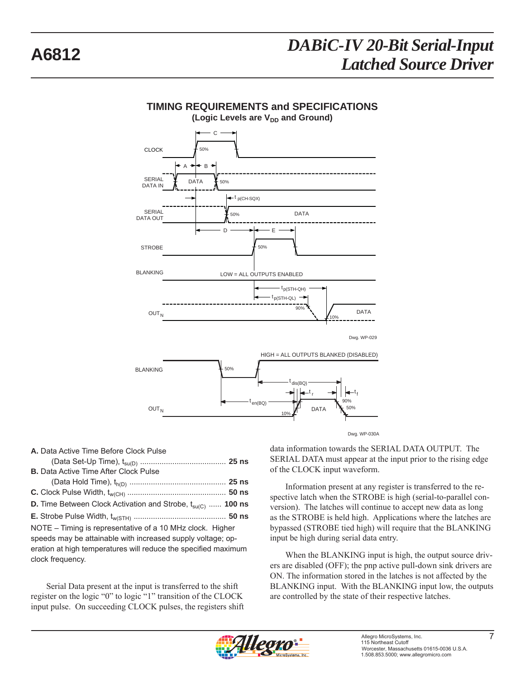

## **TIMING REQUIREMENTS and SPECIFICATIONS**

**A.** Data Active Time Before Clock Pulse (Data Set-Up Time), tsu(D) ........................................ **25 ns B.** Data Active Time After Clock Pulse (Data Hold Time), th(D) ............................................. **25 ns C.** Clock Pulse Width, tw(CH) .............................................. **50 ns D.** Time Between Clock Activation and Strobe,  $t_{su(C)}$  ...... 100 ns **E.** Strobe Pulse Width, tw(STH) ........................................... **50 ns** NOTE – Timing is representative of a 10 MHz clock. Higher speeds may be attainable with increased supply voltage; operation at high temperatures will reduce the specified maximum clock frequency.

Serial Data present at the input is trans ferred to the shift register on the logic "0" to logic "1" transition of the CLOCK input pulse. On succeeding CLOCK pulses, the registers shift data information towards the SERIAL DATA OUTPUT. The SERIAL DATA must appear at the input prior to the rising edge of the CLOCK input waveform.

Information present at any register is transferred to the respective latch when the STROBE is high (serial-to-parallel conversion). The latches will continue to accept new data as long as the STROBE is held high. Applications where the latches are bypassed (STROBE tied high) will require that the BLANKING input be high during serial data entry.

When the BLANKING input is high, the output source driv ers are disabled (OFF); the pnp active pull-down sink drivers are ON. The information stored in the latches is not affected by the BLANKING input. With the BLANKING input low, the outputs are controlled by the state of their respective latches.

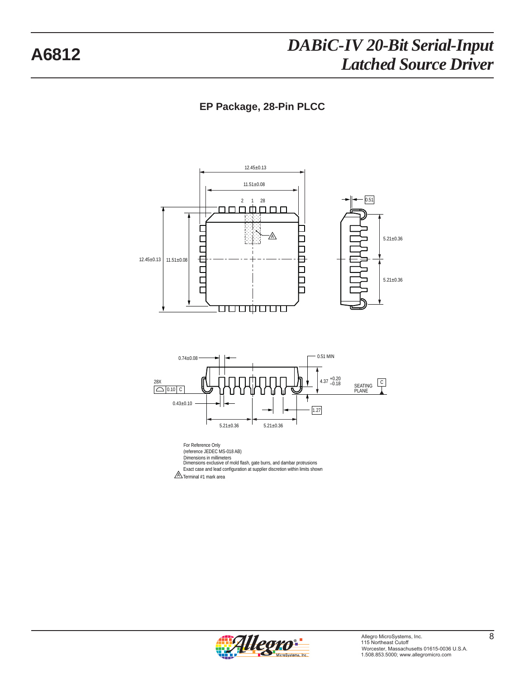## **EP Package, 28-Pin PLCC**